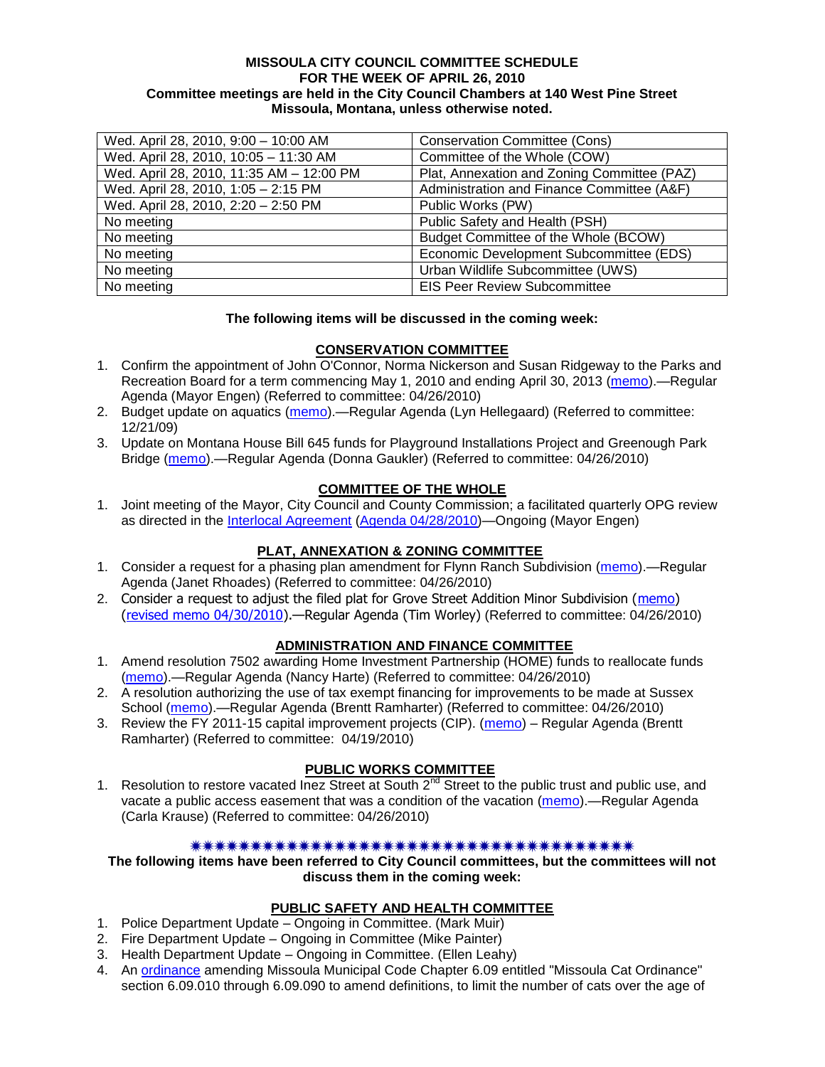#### **MISSOULA CITY COUNCIL COMMITTEE SCHEDULE FOR THE WEEK OF APRIL 26, 2010 Committee meetings are held in the City Council Chambers at 140 West Pine Street Missoula, Montana, unless otherwise noted.**

| Wed. April 28, 2010, 9:00 - 10:00 AM     | <b>Conservation Committee (Cons)</b>        |
|------------------------------------------|---------------------------------------------|
| Wed. April 28, 2010, 10:05 - 11:30 AM    | Committee of the Whole (COW)                |
| Wed. April 28, 2010, 11:35 AM - 12:00 PM | Plat, Annexation and Zoning Committee (PAZ) |
| Wed. April 28, 2010, 1:05 - 2:15 PM      | Administration and Finance Committee (A&F)  |
| Wed. April 28, 2010, 2:20 - 2:50 PM      | Public Works (PW)                           |
| No meeting                               | Public Safety and Health (PSH)              |
| No meeting                               | Budget Committee of the Whole (BCOW)        |
| No meeting                               | Economic Development Subcommittee (EDS)     |
| No meeting                               | Urban Wildlife Subcommittee (UWS)           |
| No meeting                               | <b>EIS Peer Review Subcommittee</b>         |

## **The following items will be discussed in the coming week:**

## **CONSERVATION COMMITTEE**

- 1. Confirm the appointment of John O'Connor, Norma Nickerson and Susan Ridgeway to the Parks and Recreation Board for a term commencing May 1, 2010 and ending April 30, 2013 [\(memo\)](http://www.ci.missoula.mt.us/DocumentView.aspx?DID=3580).—Regular Agenda (Mayor Engen) (Referred to committee: 04/26/2010)
- 2. Budget update on aquatics [\(memo\)](http://www.ci.missoula.mt.us/DocumentView.aspx?DID=2864).—Regular Agenda (Lyn Hellegaard) (Referred to committee: 12/21/09)
- 3. Update on Montana House Bill 645 funds for Playground Installations Project and Greenough Park Bridge [\(memo\)](http://www.ci.missoula.mt.us/DocumentView.aspx?DID=3589).—Regular Agenda (Donna Gaukler) (Referred to committee: 04/26/2010)

## **COMMITTEE OF THE WHOLE**

1. Joint meeting of the Mayor, City Council and County Commission; a facilitated quarterly OPG review as directed in the [Interlocal Agreement](ftp://ftp.ci.missoula.mt.us/Documents/Mayor/OPG/Adopted-ILA-2005.pdf) [\(Agenda 04/28/2010\)](http://www.ci.missoula.mt.us/DocumentView.aspx?DID=3551)—Ongoing (Mayor Engen)

## **PLAT, ANNEXATION & ZONING COMMITTEE**

- 1. Consider a request for a phasing plan amendment for Flynn Ranch Subdivision [\(memo\)](http://www.ci.missoula.mt.us/DocumentView.aspx?DID=3576).—Regular Agenda (Janet Rhoades) (Referred to committee: 04/26/2010)
- 2. Consider a request to adjust the filed plat for Grove Street Addition Minor Subdivision [\(memo\)](http://www.ci.missoula.mt.us/DocumentView.aspx?DID=3579) [\(revised memo 04/30/2010\)](http://www.ci.missoula.mt.us/DocumentView.aspx?DID=3704).—Regular Agenda (Tim Worley) (Referred to committee: 04/26/2010)

## **ADMINISTRATION AND FINANCE COMMITTEE**

- 1. Amend resolution 7502 awarding Home Investment Partnership (HOME) funds to reallocate funds [\(memo\)](http://www.ci.missoula.mt.us/DocumentView.aspx?DID=3584).—Regular Agenda (Nancy Harte) (Referred to committee: 04/26/2010)
- 2. A resolution authorizing the use of tax exempt financing for improvements to be made at Sussex School [\(memo\)](http://www.ci.missoula.mt.us/DocumentView.aspx?DID=3585).—Regular Agenda (Brentt Ramharter) (Referred to committee: 04/26/2010)
- 3. Review the FY 2011-15 capital improvement projects (CIP). [\(memo\)](http://www.ci.missoula.mt.us/DocumentView.aspx?DID=3522) Regular Agenda (Brentt Ramharter) (Referred to committee: 04/19/2010)

#### **PUBLIC WORKS COMMITTEE**

1. Resolution to restore vacated Inez Street at South  $2^{nd}$  Street to the public trust and public use, and vacate a public access easement that was a condition of the vacation [\(memo\)](http://www.ci.missoula.mt.us/DocumentView.aspx?DID=3573).—Regular Agenda (Carla Krause) (Referred to committee: 04/26/2010)

#### 

**The following items have been referred to City Council committees, but the committees will not discuss them in the coming week:**

#### **PUBLIC SAFETY AND HEALTH COMMITTEE**

- 1. Police Department Update Ongoing in Committee. (Mark Muir)
- 2. Fire Department Update Ongoing in Committee (Mike Painter)
- 3. Health Department Update Ongoing in Committee. (Ellen Leahy)
- 4. An [ordinance](ftp://ftp.ci.missoula.mt.us/Packets/Council/2008/2008-12-15/2008CatOrdinanceAmendment%5B1%5D.pdf) amending Missoula Municipal Code Chapter 6.09 entitled "Missoula Cat Ordinance" section 6.09.010 through 6.09.090 to amend definitions, to limit the number of cats over the age of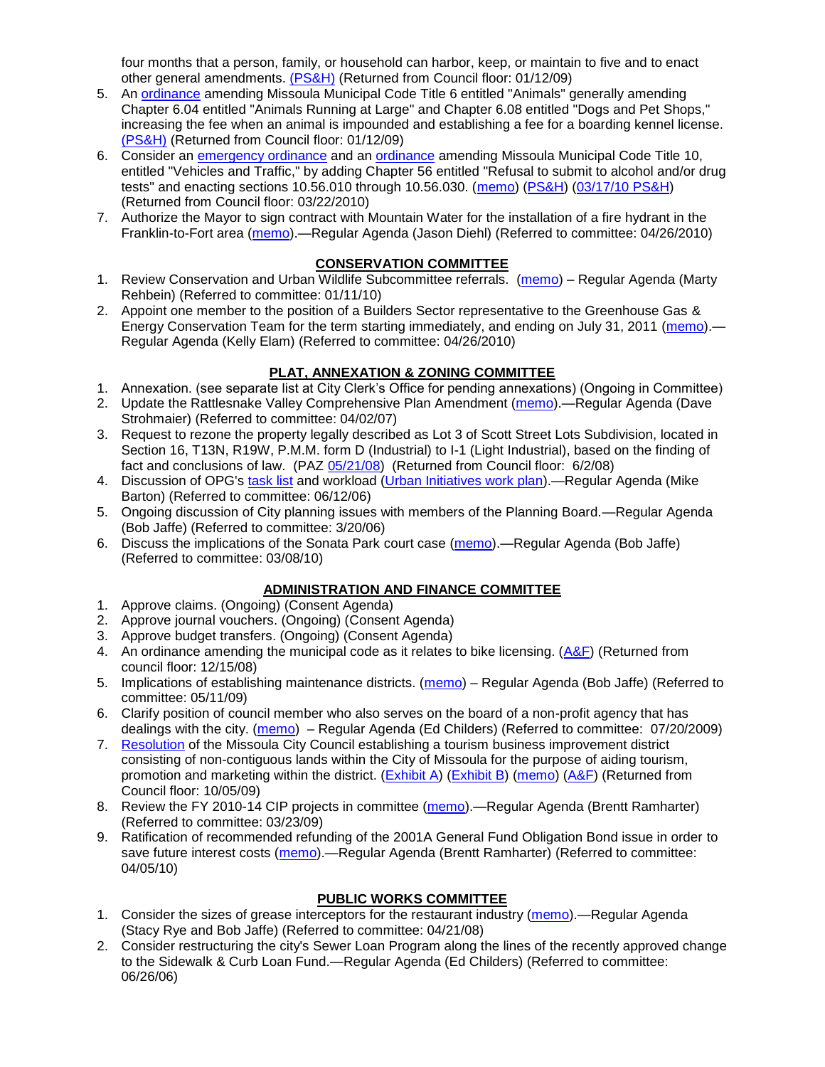four months that a person, family, or household can harbor, keep, or maintain to five and to enact other general amendments. [\(PS&H\)](ftp://ftp.ci.missoula.mt.us/Packets/Council/2008/2008-12-15/081210psh.pdf) (Returned from Council floor: 01/12/09)

- 5. An [ordinance](ftp://ftp.ci.missoula.mt.us/Packets/Council/2008/2008-12-15/DogOrdinance--PSHrevisions.pdf) amending Missoula Municipal Code Title 6 entitled "Animals" generally amending Chapter 6.04 entitled "Animals Running at Large" and Chapter 6.08 entitled "Dogs and Pet Shops," increasing the fee when an animal is impounded and establishing a fee for a boarding kennel license. [\(PS&H\)](ftp://ftp.ci.missoula.mt.us/Packets/Council/2008/2008-12-15/081210psh.pdf) (Returned from Council floor: 01/12/09)
- 6. Consider an [emergency ordinance](http://www.ci.missoula.mt.us/DocumentView.aspx?DID=3152) and an [ordinance](http://www.ci.missoula.mt.us/DocumentView.aspx?DID=3130) amending Missoula Municipal Code Title 10, entitled "Vehicles and Traffic," by adding Chapter 56 entitled "Refusal to submit to alcohol and/or drug tests" and enacting sections 10.56.010 through 10.56.030. [\(memo\)](http://www.ci.missoula.mt.us/DocumentView.aspx?DID=3131) [\(PS&H\)](http://www.ci.missoula.mt.us/Archive.aspx?ADID=1954) [\(03/17/10 PS&H\)](http://www.ci.missoula.mt.us/Archive.aspx?ADID=2112) (Returned from Council floor: 03/22/2010)
- 7. Authorize the Mayor to sign contract with Mountain Water for the installation of a fire hydrant in the Franklin-to-Fort area [\(memo\)](http://www.ci.missoula.mt.us/DocumentView.aspx?DID=3553).—Regular Agenda (Jason Diehl) (Referred to committee: 04/26/2010)

## **CONSERVATION COMMITTEE**

- 1. Review Conservation and Urban Wildlife Subcommittee referrals. [\(memo\)](http://www.ci.missoula.mt.us/DocumentView.aspx?DID=2933) Regular Agenda (Marty Rehbein) (Referred to committee: 01/11/10)
- 2. Appoint one member to the position of a Builders Sector representative to the Greenhouse Gas & Energy Conservation Team for the term starting immediately, and ending on July 31, 2011 [\(memo\)](http://www.ci.missoula.mt.us/DocumentView.aspx?DID=3587). Regular Agenda (Kelly Elam) (Referred to committee: 04/26/2010)

# **PLAT, ANNEXATION & ZONING COMMITTEE**

- 1. Annexation. (see separate list at City Clerk's Office for pending annexations) (Ongoing in Committee)
- 2. Update the Rattlesnake Valley Comprehensive Plan Amendment [\(memo\)](ftp://ftp.ci.missoula.mt.us/Packets/Council/2007/2007-04-02/Referrals/Rattlesnake_Plan_Update_referral.pdf).—Regular Agenda (Dave Strohmaier) (Referred to committee: 04/02/07)
- 3. Request to rezone the property legally described as Lot 3 of Scott Street Lots Subdivision, located in Section 16, T13N, R19W, P.M.M. form D (Industrial) to I-1 (Light Industrial), based on the finding of fact and conclusions of law. (PAZ [05/21/08\)](ftp://ftp.ci.missoula.mt.us/Packets/Council/2008/2008-06-02/080521paz.pdf) (Returned from Council floor: 6/2/08)
- 4. Discussion of OPG's [task list](ftp://ftp.ci.missoula.mt.us/Packets/Council/2008/2008-07-07/UITaskList.pdf) and workload [\(Urban Initiatives work plan\)](ftp://ftp.ci.missoula.mt.us/Packets/Council/2006/2006-06-12/Referrals/Urban_Init.htm).—Regular Agenda (Mike Barton) (Referred to committee: 06/12/06)
- 5. Ongoing discussion of City planning issues with members of the Planning Board.—Regular Agenda (Bob Jaffe) (Referred to committee: 3/20/06)
- 6. Discuss the implications of the Sonata Park court case [\(memo\)](http://www.ci.missoula.mt.us/DocumentView.aspx?DID=3268).—Regular Agenda (Bob Jaffe) (Referred to committee: 03/08/10)

# **ADMINISTRATION AND FINANCE COMMITTEE**

- 1. Approve claims. (Ongoing) (Consent Agenda)
- 2. Approve journal vouchers. (Ongoing) (Consent Agenda)
- 3. Approve budget transfers. (Ongoing) (Consent Agenda)
- 4. An ordinance amending the municipal code as it relates to bike licensing.  $(A\&F)$  (Returned from council floor: 12/15/08)
- 5. Implications of establishing maintenance districts. [\(memo\)](ftp://ftp.ci.missoula.mt.us/Packets/Council/2009/2009-05-11/Referrals/MaintenanceDistricts.pdf) Regular Agenda (Bob Jaffe) (Referred to committee: 05/11/09)
- 6. Clarify position of council member who also serves on the board of a non-profit agency that has dealings with the city. [\(memo\)](http://www.ci.missoula.mt.us/DocumentView.aspx?DID=1840) – Regular Agenda (Ed Childers) (Referred to committee: 07/20/2009)
- 7. [Resolution](http://www.ci.missoula.mt.us/DocumentView.aspx?DID=2373) of the Missoula City Council establishing a tourism business improvement district consisting of non-contiguous lands within the City of Missoula for the purpose of aiding tourism, promotion and marketing within the district. [\(Exhibit A\)](http://www.ci.missoula.mt.us/DocumentView.aspx?DID=2090) [\(Exhibit B\)](http://www.ci.missoula.mt.us/DocumentView.aspx?DID=2374) [\(memo\)](http://www.ci.missoula.mt.us/DocumentView.aspx?DID=2097) [\(A&F\)](http://www.ci.missoula.mt.us/Archive.aspx?ADID=1172) (Returned from Council floor: 10/05/09)
- 8. Review the FY 2010-14 CIP projects in committee [\(memo\)](ftp://ftp.ci.missoula.mt.us/Packets/Council/2009/2009-03-23/Referrals/RefAFCIPBudgetReviewFY2010-2014CIP.pdf).—Regular Agenda (Brentt Ramharter) (Referred to committee: 03/23/09)
- 9. Ratification of recommended refunding of the 2001A General Fund Obligation Bond issue in order to save future interest costs [\(memo\)](http://www.ci.missoula.mt.us/DocumentView.aspx?DID=3446).—Regular Agenda (Brentt Ramharter) (Referred to committee: 04/05/10)

# **PUBLIC WORKS COMMITTEE**

- 1. Consider the sizes of grease interceptors for the restaurant industry [\(memo\)](ftp://ftp.ci.missoula.mt.us/Packets/Council/2008/2008-04-21/Referrals/Industrial_waste_restaurants.pdf).—Regular Agenda (Stacy Rye and Bob Jaffe) (Referred to committee: 04/21/08)
- 2. Consider restructuring the city's Sewer Loan Program along the lines of the recently approved change to the Sidewalk & Curb Loan Fund.—Regular Agenda (Ed Childers) (Referred to committee: 06/26/06)